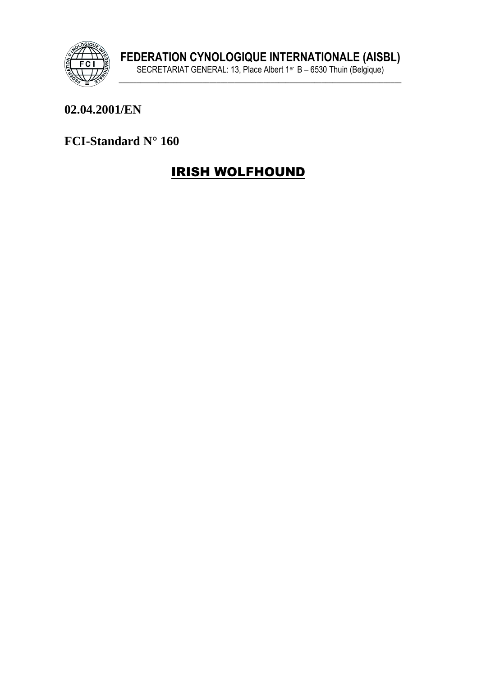

### 02.04.2001/EN

### FCI-Standard N° 160

# **IRISH WOLFHOUND**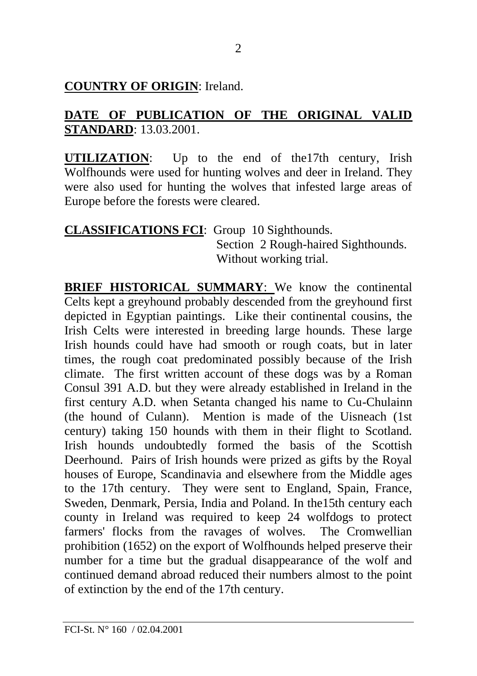### **COUNTRY OF ORIGIN**: Ireland.

### **DATE OF PUBLICATION OF THE ORIGINAL VALID STANDARD**: 13.03.2001.

**UTILIZATION**: Up to the end of the17th century, Irish Wolfhounds were used for hunting wolves and deer in Ireland. They were also used for hunting the wolves that infested large areas of Europe before the forests were cleared.

#### **CLASSIFICATIONS FCI**: Group 10 Sighthounds. Section 2 Rough-haired Sighthounds. Without working trial.

**BRIEF HISTORICAL SUMMARY:** We know the continental Celts kept a greyhound probably descended from the greyhound first depicted in Egyptian paintings. Like their continental cousins, the Irish Celts were interested in breeding large hounds. These large Irish hounds could have had smooth or rough coats, but in later times, the rough coat predominated possibly because of the Irish climate. The first written account of these dogs was by a Roman Consul 391 A.D. but they were already established in Ireland in the first century A.D. when Setanta changed his name to Cu-Chulainn (the hound of Culann). Mention is made of the Uisneach (1st century) taking 150 hounds with them in their flight to Scotland. Irish hounds undoubtedly formed the basis of the Scottish Deerhound. Pairs of Irish hounds were prized as gifts by the Royal houses of Europe, Scandinavia and elsewhere from the Middle ages to the 17th century. They were sent to England, Spain, France, Sweden, Denmark, Persia, India and Poland. In the15th century each county in Ireland was required to keep 24 wolfdogs to protect farmers' flocks from the ravages of wolves. The Cromwellian prohibition (1652) on the export of Wolfhounds helped preserve their number for a time but the gradual disappearance of the wolf and continued demand abroad reduced their numbers almost to the point of extinction by the end of the 17th century.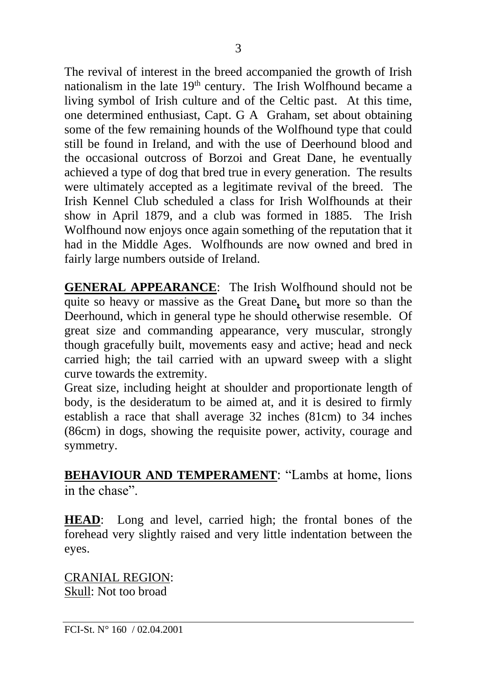The revival of interest in the breed accompanied the growth of Irish nationalism in the late 19<sup>th</sup> century. The Irish Wolfhound became a living symbol of Irish culture and of the Celtic past. At this time, one determined enthusiast, Capt. G A Graham, set about obtaining some of the few remaining hounds of the Wolfhound type that could still be found in Ireland, and with the use of Deerhound blood and the occasional outcross of Borzoi and Great Dane, he eventually achieved a type of dog that bred true in every generation. The results were ultimately accepted as a legitimate revival of the breed. The Irish Kennel Club scheduled a class for Irish Wolfhounds at their show in April 1879, and a club was formed in 1885. The Irish Wolfhound now enjoys once again something of the reputation that it had in the Middle Ages. Wolfhounds are now owned and bred in fairly large numbers outside of Ireland.

**GENERAL APPEARANCE**: The Irish Wolfhound should not be quite so heavy or massive as the Great Dane*,* but more so than the Deerhound, which in general type he should otherwise resemble. Of great size and commanding appearance, very muscular, strongly though gracefully built, movements easy and active; head and neck carried high; the tail carried with an upward sweep with a slight curve towards the extremity.

Great size, including height at shoulder and proportionate length of body, is the desideratum to be aimed at, and it is desired to firmly establish a race that shall average 32 inches (81cm) to 34 inches (86cm) in dogs, showing the requisite power, activity, courage and symmetry.

**BEHAVIOUR AND TEMPERAMENT**: "Lambs at home, lions in the chase".

**HEAD**: Long and level, carried high; the frontal bones of the forehead very slightly raised and very little indentation between the eyes.

CRANIAL REGION: Skull: Not too broad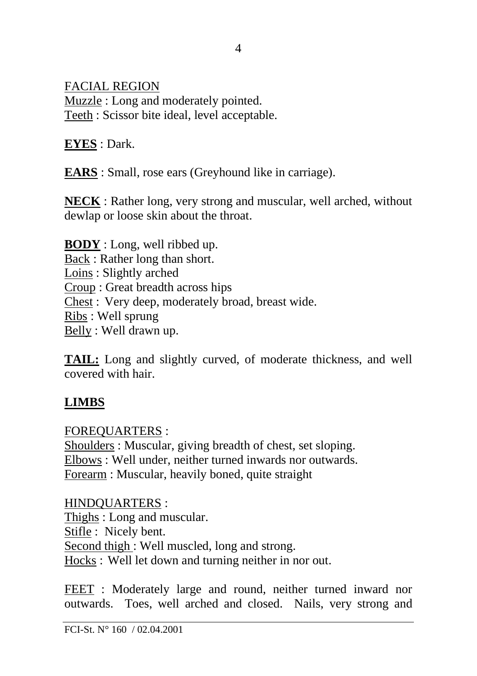FACIAL REGION

Muzzle : Long and moderately pointed. Teeth : Scissor bite ideal, level acceptable.

**EYES** : Dark.

**EARS** : Small, rose ears (Greyhound like in carriage).

**NECK** : Rather long, very strong and muscular, well arched, without dewlap or loose skin about the throat.

**BODY** : Long, well ribbed up. Back : Rather long than short. Loins : Slightly arched Croup : Great breadth across hips Chest : Very deep, moderately broad, breast wide. Ribs : Well sprung Belly : Well drawn up.

**TAIL:** Long and slightly curved, of moderate thickness, and well covered with hair.

## **LIMBS**

FOREQUARTERS :

Shoulders : Muscular, giving breadth of chest, set sloping. Elbows : Well under, neither turned inwards nor outwards. Forearm : Muscular, heavily boned, quite straight

HINDQUARTERS : Thighs : Long and muscular. Stifle : Nicely bent. Second thigh : Well muscled, long and strong. Hocks : Well let down and turning neither in nor out.

FEET : Moderately large and round, neither turned inward nor outwards. Toes, well arched and closed. Nails, very strong and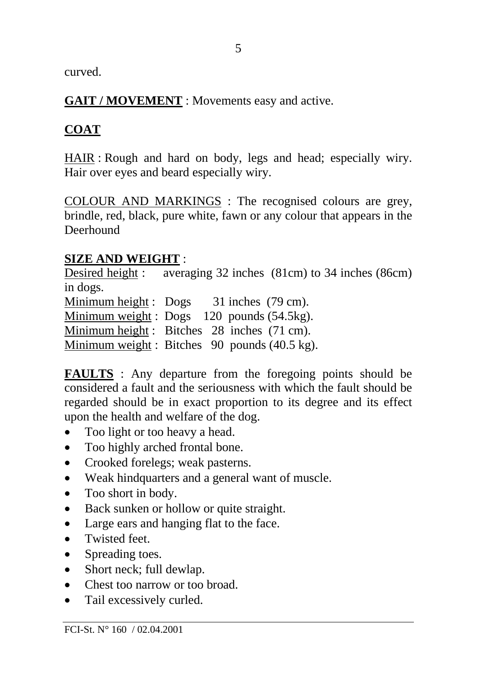curved.

**GAIT / MOVEMENT** : Movements easy and active.

# **COAT**

HAIR : Rough and hard on body, legs and head; especially wiry. Hair over eyes and beard especially wiry.

COLOUR AND MARKINGS : The recognised colours are grey, brindle, red, black, pure white, fawn or any colour that appears in the Deerhound

## **SIZE AND WEIGHT** :

Desired height : averaging 32 inches (81cm) to 34 inches (86cm) in dogs. Minimum height : Dogs 31 inches (79 cm). Minimum weight : Dogs 120 pounds (54.5kg). Minimum height :Bitches 28 inches (71 cm). Minimum weight : Bitches 90 pounds (40.5 kg).

**FAULTS** : Any departure from the foregoing points should be considered a fault and the seriousness with which the fault should be regarded should be in exact proportion to its degree and its effect upon the health and welfare of the dog.

- Too light or too heavy a head.
- Too highly arched frontal bone.
- Crooked forelegs; weak pasterns.
- Weak hindquarters and a general want of muscle.
- Too short in body.
- Back sunken or hollow or quite straight.
- Large ears and hanging flat to the face.
- Twisted feet.
- Spreading toes.
- Short neck; full dewlap.
- Chest too narrow or too broad.
- Tail excessively curled.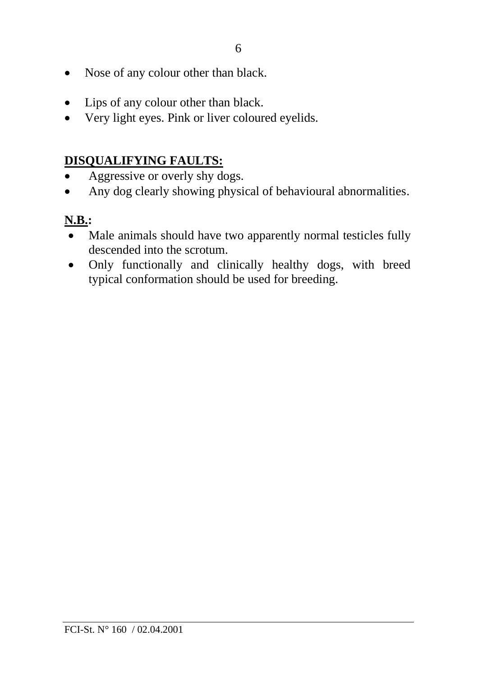- Nose of any colour other than black.
- Lips of any colour other than black.
- Very light eyes. Pink or liver coloured eyelids.

## **DISQUALIFYING FAULTS:**

- Aggressive or overly shy dogs.
- Any dog clearly showing physical of behavioural abnormalities.

## **N.B.:**

- Male animals should have two apparently normal testicles fully descended into the scrotum.
- Only functionally and clinically healthy dogs, with breed typical conformation should be used for breeding.